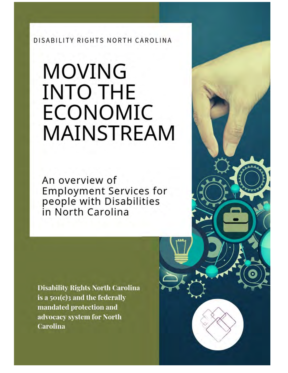DISABILITY RIGHTS NORTH CAROLINA

# **MOVING INTO THE ECONOMIC MAINSTREAM**

An overview of Employment Services for<br>people with Disabilities in North Carolina

**Disability Rights North Carolina** is a  $501(c)$  and the federally mandated protection and advocacy system for North **Carolina**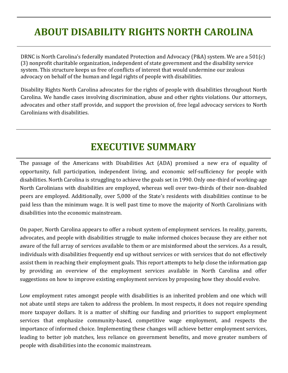## **ABOUT DISABILITY RIGHTS NORTH CAROLINA**

DRNC is North Carolina's federally mandated Protection and Advocacy (P&A) system. We are a 501(c) (3) nonprofit charitable organization, independent of state government and the disability service system. This structure keeps us free of conflicts of interest that would undermine our zealous advocacy on behalf of the human and legal rights of people with disabilities.

Disability Rights North Carolina advocates for the rights of people with disabilities throughout North Carolina. We handle cases involving discrimination, abuse and other rights violations. Our attorneys, advocates and other staff provide, and support the provision of, free legal advocacy services to North Carolinians with disabilities.

### **EXECUTIVE SUMMARY**

The passage of the Americans with Disabilities Act (ADA) promised a new era of equality of opportunity, full participation, independent living, and economic self-sufficiency for people with disabilities. North Carolina is struggling to achieve the goals set in 1990. Only one-third of working-age North Carolinians with disabilities are employed, whereas well over two-thirds of their non-disabled peers are employed. Additionally, over 5,000 of the State's residents with disabilities continue to be paid less than the minimum wage. It is well past time to move the majority of North Carolinians with disabilities into the economic mainstream.

On paper, North Carolina appears to offer a robust system of employment services. In reality, parents, advocates, and people with disabilities struggle to make informed choices because they are either not aware of the full array of services available to them or are misinformed about the services. As a result, individuals with disabilities frequently end up without services or with services that do not effectively assist them in reaching their employment goals. This report attempts to help close the information gap by providing an overview of the employment services available in North Carolina and offer suggestions on how to improve existing employment services by proposing how they should evolve.

Low employment rates amongst people with disabilities is an inherited problem and one which will not abate until steps are taken to address the problem. In most respects, it does not require spending more taxpayer dollars. It is a matter of shifting our funding and priorities to support employment services that emphasize community-based, competitive wage employment, and respects the importance of informed choice. Implementing these changes will achieve better employment services, leading to better job matches, less reliance on government benefits, and move greater numbers of people with disabilities into the economic mainstream.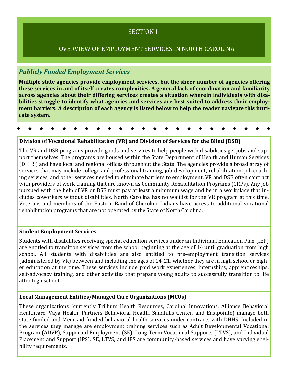### SECTION I

### OVERVIEW OF EMPLOYMENT SERVICES IN NORTH CAROLINA

### *Publicly Funded Employment Services*

**Multiple state agencies provide employment services, but the sheer number of agencies offering these services in and of itself creates complexities. A general lack of coordination and familiarity across agencies about their differing services creates a situation wherein individuals with disabilities struggle to identify what agencies and services are best suited to address their employment barriers. A description of each agency is listed below to help the reader navigate this intricate system.** 

### **Division of Vocational Rehabilitation (VR) and Division of Services for the Blind (DSB)**

The VR and DSB programs provide goods and services to help people with disabilities get jobs and support themselves. The programs are housed within the State Department of Health and Human Services (DHHS) and have local and regional offices throughout the State. The agencies provide a broad array of services that may include college and professional training, job-development, rehabilitation, job coaching services, and other services needed to eliminate barriers to employment. VR and DSB often contract with providers of work training that are known as Community Rehabilitation Programs (CRPs). Any job pursued with the help of VR or DSB must pay at least a minimum wage and be in a workplace that includes coworkers without disabilities. North Carolina has no waitlist for the VR program at this time. Veterans and members of the Eastern Band of Cherokee Indians have access to additional vocational rehabilitation programs that are not operated by the State of North Carolina.

#### **Student Employment Services**

Students with disabilities receiving special education services under an Individual Education Plan (IEP) are entitled to transition services from the school beginning at the age of 14 until graduation from high school. All students with disabilities are also entitled to pre-employment transition services (administered by VR) between and including the ages of 14-21, whether they are in high school or higher education at the time. These services include paid work experiences, internships, apprenticeships, self-advocacy training, and other activities that prepare young adults to successfully transition to life after high school.

#### **Local Management Entities/Managed Care Organizations (MCOs)**

These organizations (currently Trillium Health Resources, Cardinal Innovations, Alliance Behavioral Healthcare, Vaya Health, Partners Behavioral Health, Sandhills Center, and Eastpointe) manage both state-funded and Medicaid-funded behavioral health services under contracts with DHHS. Included in the services they manage are employment training services such as Adult Developmental Vocational Program (ADVP), Supported Employment (SE), Long-Term Vocational Supports (LTVS), and Individual Placement and Support (IPS). SE, LTVS, and IPS are community-based services and have varying eligibility requirements.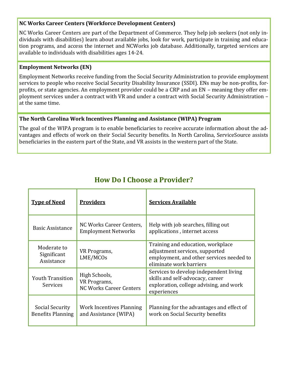### **NC Works Career Centers (Workforce Development Centers)**

NC Works Career Centers are part of the Department of Commerce. They help job seekers (not only individuals with disabilities) learn about available jobs, look for work, participate in training and education programs, and access the internet and NCWorks job database. Additionally, targeted services are available to individuals with disabilities ages 14-24.

### **Employment Networks (EN)**

Employment Networks receive funding from the Social Security Administration to provide employment services to people who receive Social Security Disability Insurance (SSDI). ENs may be non-profits, forprofits, or state agencies. An employment provider could be a CRP and an EN – meaning they offer employment services under a contract with VR and under a contract with Social Security Administration – at the same time.

### **The North Carolina Work Incentives Planning and Assistance (WIPA) Program**

The goal of the WIPA program is to enable beneficiaries to receive accurate information about the advantages and effects of work on their Social Security benefits. In North Carolina, ServiceSource assists beneficiaries in the eastern part of the State, and VR assists in the western part of the State.

| <b>Type of Need</b>                         | <b>Providers</b>                                                | <b>Services Available</b>                                                                                                                  |
|---------------------------------------------|-----------------------------------------------------------------|--------------------------------------------------------------------------------------------------------------------------------------------|
| <b>Basic Assistance</b>                     | NC Works Career Centers,<br><b>Employment Networks</b>          | Help with job searches, filling out<br>applications, internet access                                                                       |
| Moderate to<br>Significant<br>Assistance    | VR Programs,<br>LME/MCOs                                        | Training and education, workplace<br>adjustment services, supported<br>employment, and other services needed to<br>eliminate work barriers |
| <b>Youth Transition</b><br><b>Services</b>  | High Schools,<br>VR Programs,<br><b>NC Works Career Centers</b> | Services to develop independent living<br>skills and self-advocacy, career<br>exploration, college advising, and work<br>experiences       |
| Social Security<br><b>Benefits Planning</b> | Work Incentives Planning<br>and Assistance (WIPA)               | Planning for the advantages and effect of<br>work on Social Security benefits                                                              |

### **How Do I Choose a Provider?**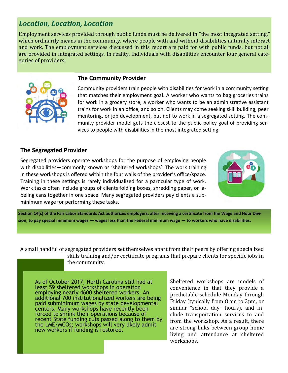### *Location, Location, Location*

Employment services provided through public funds must be delivered in "the most integrated setting," which ordinarily means in the community, where people with and without disabilities naturally interact and work. The employment services discussed in this report are paid for with public funds, but not all are provided in integrated settings. In reality, individuals with disabilities encounter four general categories of providers:



#### **The Community Provider**

Community providers train people with disabilities for work in a community setting that matches their employment goal. A worker who wants to bag groceries trains for work in a grocery store, a worker who wants to be an administrative assistant trains for work in an office, and so on. Clients may come seeking skill building, peer mentoring, or job development, but not to work in a segregated setting. The community provider model gets the closest to the public policy goal of providing services to people with disabilities in the most integrated setting.

### **The Segregated Provider**

Segregated providers operate workshops for the purpose of employing people with disabilities—commonly known as 'sheltered workshops'. The work training in these workshops is offered within the four walls of the provider's office/space. Training in these settings is rarely individualized for a particular type of work. Work tasks often include groups of clients folding boxes, shredding paper, or labeling cans together in one space. Many segregated providers pay clients a subminimum wage for performing these tasks.



**Section 14(c) of the Fair Labor Standards Act authorizes employers, after receiving a certificate from the Wage and Hour Division, to pay special minimum wages — wages less than the Federal minimum wage — to workers who have disabilities.** 

A small handful of segregated providers set themselves apart from their peers by offering specialized skills training and/or certificate programs that prepare clients for specific jobs in the community.

As of October 2017, North Carolina still had at least 59 sheltered workshops in operation employing nearly 4600 sheltered workers. An additional 700 institutionalized workers are being paid subminimum wages by state developmental centers. Many workshops have recently been forced to shrink their operations because of recent State funding cuts passed along to them by the LME/MCOs; workshops will very likely admit new workers if funding is restored.

Sheltered workshops are models of convenience in that they provide a predictable schedule Monday through Friday (typically from 8 am to 3pm, or similar "school day" hours), and include transportation services to and from the workshop. As a result, there are strong links between group home living and attendance at sheltered workshops.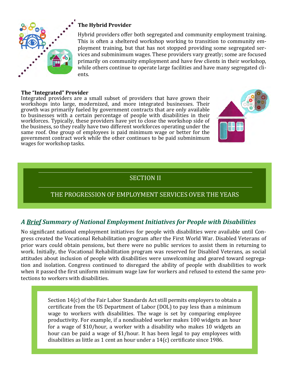

### **The Hybrid Provider**

Hybrid providers offer both segregated and community employment training. This is often a sheltered workshop working to transition to community employment training, but that has not stopped providing some segregated services and subminimum wages. These providers vary greatly; some are focused primarily on community employment and have few clients in their workshop, while others continue to operate large facilities and have many segregated clients.

#### **The "Integrated" Provider**

Integrated providers are a small subset of providers that have grown their workshops into large, modernized, and more integrated businesses. Their growth was primarily fueled by government contracts that are only available to businesses with a certain percentage of people with disabilities in their workforces. Typically, these providers have yet to close the workshop side of the business, so they really have two different workforces operating under the same roof. One group of employees is paid minimum wage or better for the government contract work while the other continues to be paid subminimum wages for workshop tasks.



### THE PROGRESSION OF EMPLOYMENT SERVICES OVER THE YEARS

### *A Brief Summary of National Employment Initiatives for People with Disabilities*

No significant national employment initiatives for people with disabilities were available until Congress created the Vocational Rehabilitation program after the First World War. Disabled Veterans of prior wars could obtain pensions, but there were no public services to assist them in returning to work. Initially, the Vocational Rehabilitation program was reserved for Disabled Veterans, as social attitudes about inclusion of people with disabilities were unwelcoming and geared toward segregation and isolation. Congress continued to disregard the ability of people with disabilities to work when it passed the first uniform minimum wage law for workers and refused to extend the same protections to workers with disabilities.

> Section 14(c) of the Fair Labor Standards Act still permits employers to obtain a certificate from the US Department of Labor (DOL) to pay less than a minimum wage to workers with disabilities. The wage is set by comparing employee productivity. For example, if a nondisabled worker makes 100 widgets an hour for a wage of \$10/hour, a worker with a disability who makes 10 widgets an hour can be paid a wage of \$1/hour. It has been legal to pay employees with disabilities as little as 1 cent an hour under a 14(c) certificate since 1986.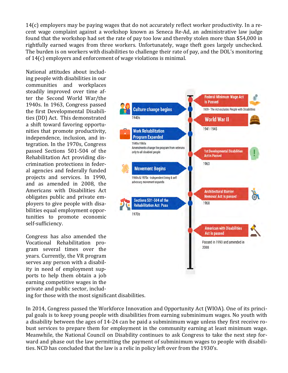14(c) employers may be paying wages that do not accurately reflect worker productivity. In a recent wage complaint against a workshop known as Seneca Re-Ad, an administrative law judge found that the workshop had set the rate of pay too low and thereby stolen more than \$54,000 in rightfully earned wages from three workers. Unfortunately, wage theft goes largely unchecked. The burden is on workers with disabilities to challenge their rate of pay, and the DOL's monitoring of 14(c) employers and enforcement of wage violations is minimal.

National attitudes about including people with disabilities in our communities and workplaces steadily improved over time after the Second World War/the 1940s. In 1963, Congress passed the first Developmental Disabilities (DD) Act. This demonstrated a shift toward favoring opportunities that promote productivity, independence, inclusion, and integration. In the 1970s, Congress passed Sections 501-504 of the Rehabilitation Act providing discrimination protections in federal agencies and federally funded projects and services. In 1990, and as amended in 2008, the Americans with Disabilities Act obligates public and private employers to give people with disabilities equal employment opportunities to promote economic self-sufficiency.

Congress has also amended the Vocational Rehabilitation program several times over the years. Currently, the VR program serves any person with a disability in need of employment supports to help them obtain a job earning competitive wages in the private and public sector, including for those with the most significant disabilities.



In 2014, Congress passed the Workforce Innovation and Opportunity Act (WIOA). One of its principal goals is to keep young people with disabilities from earning subminimum wages. No youth with a disability between the ages of 14-24 can be paid a subminimum wage unless they first receive robust services to prepare them for employment in the community earning at least minimum wage. Meanwhile, the National Council on Disability continues to ask Congress to take the next step forward and phase out the law permitting the payment of subminimum wages to people with disabilities. NCD has concluded that the law is a relic in policy left over from the 1930's.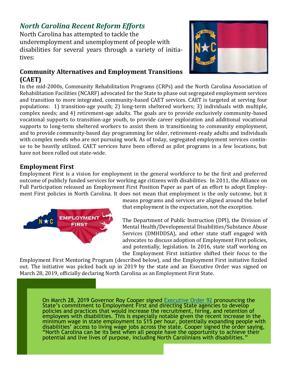### *North Carolina Recent Reform Efforts*

North Carolina has attempted to tackle the underemployment and unemployment of people with disabilities for several years through a variety of initiatives:

### **Community Alternatives and Employment Transitions (CAET)**



In the mid-2000s, Community Rehabilitation Programs (CRPs) and the North Carolina Association of Rehabilitation Facilities (NCARF) advocated for the State to phase out segregated employment services and transition to more integrated, community-based CAET services. CAET is targeted at serving four populations: 1) transition-age youth; 2) long-term sheltered workers; 3) individuals with multiple, complex needs; and 4) retirement-age adults. The goals are to provide exclusively community-based vocational supports to transition-age youth, to provide career exploration and additional vocational supports to long-term sheltered workers to assist them in transitioning to community employment, and to provide community-based day programming for older, retirement-ready adults and individuals with complex needs who are not pursuing work. As of today, segregated employment services continue to be heavily utilized. CAET services have been offered as pilot programs in a few locations, but have not been rolled out state-wide.

### **Employment First**

Employment First is a vision for employment in the general workforce to be the first and preferred outcome of publicly funded services for working age citizens with disabilities. In 2011, the Alliance on Full Participation released an Employment First Position Paper as part of an effort to adopt Employment First policies in North Carolina. It does not mean that employment is the only outcome, but it



means programs and services are aligned around the belief that employment is the expectation, not the exception.

The Department of Public Instruction (DPI), the Division of Mental Health/Developmental Disabilities/Substance Abuse Services (DMHDDSA), and other state staff engaged with advocates to discuss adoption of Employment First policies, and potentially, legislation. In 2016, state staff working on the Employment First initiative shifted their focus to the

Employment First Mentoring Program (described below), and the Employment First initiative fizzled out. The initiative was picked back up in 2019 by the state and an Executive Order was signed on March 28, 2019, officially declaring North Carolina as an Employment First State.

On March 28, 2019 Governor Roy Cooper signed [Executive Order 92](https://files.nc.gov/governor/documents/files/EO_92.pdf) pronouncing the State's commitment to Employment First and directing State agencies to develop policies and practices that would increase the recruitment, hiring, and retention of employees with disabilities. This is especially notable given the recent increase in the minimum wage in state employment to \$15 per hour, potentially expanding people with disabilities' access to living wage jobs across the state. Cooper signed the order saying, "North Carolina can be its best when all people have the opportunity to achieve their potential and live lives of purpose, including North Carolinians with disabilities."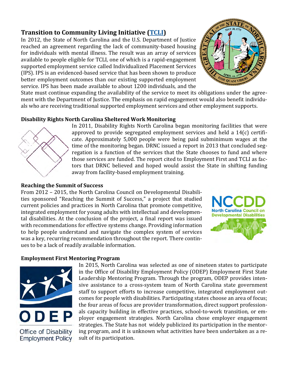### **Transition to Community Living Initiative [\(TCLI\)](https://www.ncdhhs.gov/about/department-initiatives/transitions-community-living-initiative)**

In 2012, the State of North Carolina and the U.S. Department of Justice reached an agreement regarding the lack of community-based housing for individuals with mental illness. The result was an array of services available to people eligible for TCLI, one of which is a rapid-engagement supported employment service called Individualized Placement Services (IPS). IPS is an evidenced-based service that has been shown to produce better employment outcomes than our existing supported employment service. IPS has been made available to about 1200 individuals, and the



State must continue expanding the availability of the service to meet its obligations under the agreement with the Department of Justice. The emphasis on rapid engagement would also benefit individuals who are receiving traditional supported employment services and other employment supports.

### **Disability Rights North Carolina Sheltered Work Monitoring**



### In 2011, Disability Rights North Carolina began monitoring facilities that were approved to provide segregated employment services and held a 14(c) certificate. Approximately 5,000 people were being paid subminimum wages at the time of the monitoring began. DRNC issued a report in 2013 that concluded segregation is a function of the services that the State chooses to fund and where those services are funded. The report cited to Employment First and TCLI as factors that DRNC believed and hoped would assist the State in shifting funding away from facility-based employment training.

### **Reaching the Summit of Success**

From 2012 – 2015, the North Carolina Council on Developmental Disabilities sponsored "Reaching the Summit of Success," a project that studied current policies and practices in North Carolina that promote competitive, integrated employment for young adults with intellectual and developmental disabilities. At the conclusion of the project, a final report was issued with recommendations for effective systems change. Providing information to help people understand and navigate the complex system of services was a key, recurring recommendation throughout the report. There continues to be a lack of readily available information.



### **Employment First Mentoring Program**



**Office of Disability Employment Policy**  In 2015, North Carolina was selected as one of nineteen states to participate in the Office of Disability Employment Policy (ODEP) Employment First State Leadership Mentoring Program. Through the program, ODEP provides intensive assistance to a cross-system team of North Carolina state government staff to support efforts to increase competitive, integrated employment outcomes for people with disabilities. Participating states choose an area of focus; the four areas of focus are provider transformation, direct support professionals capacity building in effective practices, school-to-work transition, or employer engagement strategies. North Carolina chose employer engagement strategies. The State has not widely publicized its participation in the mentoring program, and it is unknown what activities have been undertaken as a result of its participation.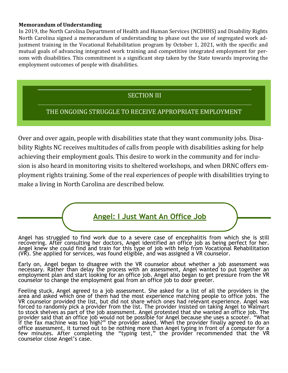#### **Memorandum of Understanding**

In 2019, the North Carolina Department of Health and Human Services (NCDHHS) and Disability Rights North Carolina signed a memorandum of understanding to phase out the use of segregated work adjustment training in the Vocational Rehabilitation program by October 1, 2021, with the specific and mutual goals of advancing integrated work training and competitive integrated employment for persons with disabilities. This commitment is a significant step taken by the State towards improving the employment outcomes of people with disabilities.

### SECTION III

### THE ONGOING STRUGGLE TO RECEIVE APPROPRIATE EMPLOYMENT

Over and over again, people with disabilities state that they want community jobs. Disability Rights NC receives multitudes of calls from people with disabilities asking for help achieving their employment goals. This desire to work in the community and for inclusion is also heard in monitoring visits to sheltered workshops, and when DRNC offers employment rights training. Some of the real experiences of people with disabilities trying to make a living in North Carolina are described below.



Angel has struggled to find work due to a severe case of encephalitis from which she is still recovering. After consulting her doctors, Angel identified an office job as being perfect for her. Angel knew she could find and train for this type of job with help from Vocational Rehabilitation (VR). She applied for services, was found eligible, and was assigned a VR counselor.

Early on, Angel began to disagree with the VR counselor about whether a job assessment was necessary. Rather than delay the process with an assessment, Angel wanted to put together an employment plan and start looking for an office job. Angel also began to get pressure from the VR counselor to change the employment goal from an office job to door greeter.

Feeling stuck, Angel agreed to a job assessment. She asked for a list of all the providers in the area and asked which one of them had the most experience matching people to office jobs. The VR counselor provided the list, but did not share which ones had relevant experience. Angel was forced to randomly pick a provider from the list. The provider insisted on taking Angel to Walmart to stock shelves as part of the job assessment. Angel protested that she wanted an office job. The provider said that an office job would not be possible for Angel because she uses a scooter. "What if the fax machine was too high?" the provider asked. When the provider finally agreed to do an office assessment, it turned out to be nothing more than Angel typing in front of a computer for a few minutes. After completing the "typing test," the provider recommended that the VR counselor close Angel's case.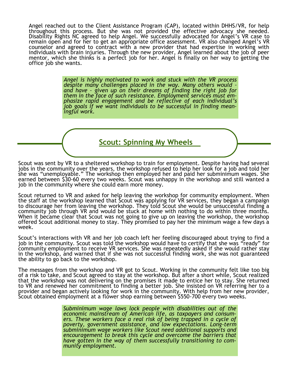Angel reached out to the Client Assistance Program (CAP), located within DHHS/VR, for help throughout this process. But she was not provided the effective advocacy she needed. Disability Rights NC agreed to help Angel. We successfully advocated for Angel's VR case to remain open and for her to get an appropriate office assessment. VR also changed Angel's VR counselor and agreed to contract with a new provider that had expertise in working with individuals with brain injuries. Through the new provider, Angel learned about the job of peer mentor, which she thinks is a perfect job for her. Angel is finally on her way to getting the office job she wants.

> *Angel is highly motivated to work and stuck with the VR process despite many challenges placed in the way. Many others would – and have – given up on their dreams of finding the right job for them in the face of such resistance. Employment services must emphasize rapid engagement and be reflective of each individual's job goals if we want individuals to be successful in finding meaningful work.*

> > **Scout: Spinning My Wheels**

Scout was sent by VR to a sheltered workshop to train for employment. Despite having had several jobs in the community over the years, the workshop refused to help her look for a job and told her she was "unemployable." The workshop then employed her and paid her subminimum wages. She earned between \$30-60 every two weeks. Scout was unhappy in the workshop and still wanted a job in the community where she could earn more money.

Scout returned to VR and asked for help leaving the workshop for community employment. When the staff at the workshop learned that Scout was applying for VR services, they began a campaign to discourage her from leaving the workshop. They told Scout she would be unsuccessful finding a community job through VR and would be stuck at home with nothing to do within three months. When it became clear that Scout was not going to give up on leaving the workshop, the workshop offered Scout additional money to stay. They promised to pay her the minimum wage a few days a week.

Scout's interactions with VR and her job coach left her feeling discouraged about trying to find a job in the community. Scout was told the workshop would have to certify that she was "ready" for community employment to receive VR services. She was repeatedly asked if she would rather stay in the workshop, and warned that if she was not successful finding work, she was not guaranteed the ability to go back to the workshop.

The messages from the workshop and VR got to Scout. Working in the community felt like too big of a risk to take, and Scout agreed to stay at the workshop. But after a short while, Scout realized that the workshop was not delivering on the promises it made to entice her to stay. She returned to VR and renewed her commitment to finding a better job. She insisted on VR referring her to a provider and began actively looking for work in the community. With help from her new provider, Scout obtained employment at a flower shop earning between \$550-700 every two weeks.

> *Subminimum wage laws lock people with disabilities out of the economic mainstream of American life, as taxpayers and consum*ers. These workers face a real risk of being trapped in a cycle of *poverty, government assistance, and low expectations. Long-term subminimum wage workers like Scout need additional supports and encouragement to break this cycle and overcome the barriers that have gotten in the way of them successfully transitioning to community employment.*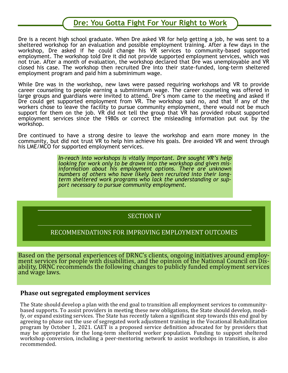### **Dre: You Gotta Fight For Your Right to Work**

Dre is a recent high school graduate. When Dre asked VR for help getting a job, he was sent to a sheltered workshop for an evaluation and possible employment training. After a few days in the workshop, Dre asked if he could change his VR services to community-based supported employment. The workshop told Dre it did not provide supported employment services, which was not true. After a month of evaluation, the workshop declared that Dre was unemployable and VR closed his case. The workshop then recruited Dre into their state-funded, long-term sheltered employment program and paid him a subminimum wage.

While Dre was in the workshop, new laws were passed requiring workshops and VR to provide career counseling to people earning a subminimum wage. The career counseling was offered in large groups and guardians were invited to attend. Dre's mom came to the meeting and asked if Dre could get supported employment from VR. The workshop said no, and that if any of the workers chose to leave the facility to pursue community employment, there would not be much support for them on the job. VR did not tell the group that VR has provided robust supported employment services since the 1980s or correct the misleading information put out by the workshop.

Dre continued to have a strong desire to leave the workshop and earn more money in the community, but did not trust VR to help him achieve his goals. Dre avoided VR and went through his LME/MCO for supported employment services.

> *In-reach into workshops is vitally important. Dre sought VR's help looking for work only to be drawn into the workshop and given misinformation about his employment options. There are unknown numbers of others who have likely been recruited into their longterm sheltered work programs who lack the understanding or support necessary to pursue community employment.*

### SECTION IV

### RECOMMENDATIONS FOR IMPROVING EMPLOYMENT OUTCOMES

Based on the personal experiences of DRNC's clients, ongoing initiatives around employment services for people with disabilities, and the opinion of the National Council on Disability, DRNC recommends the following changes to publicly funded employment services and wage laws.

#### **Phase out segregated employment services**

The State should develop a plan with the end goal to transition all employment services to communitybased supports. To assist providers in meeting these new obligations, the State should develop, modify, or expand existing services. The State has recently taken a significant step towards this end goal by agreeing to phase out the use of segregated work adjustment training in the Vocational Rehabilitation program by October 1, 2021. CAET is a proposed service definition advocated for by providers that may be appropriate for the long-term sheltered worker population. Funding to support sheltered workshop conversion, including a peer-mentoring network to assist workshops in transition, is also recommended.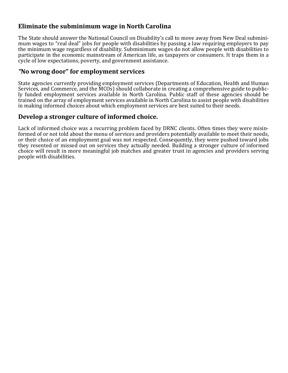### **Eliminate the subminimum wage in North Carolina**

The State should answer the National Council on Disability's call to move away from New Deal subminimum wages to "real deal" jobs for people with disabilities by passing a law requiring employers to pay the minimum wage regardless of disability. Subminimum wages do not allow people with disabilities to participate in the economic mainstream of American life, as taxpayers or consumers. It traps them in a cycle of low expectations, poverty, and government assistance.

### *"***No wrong door" for employment services**

State agencies currently providing employment services (Departments of Education, Health and Human Services, and Commerce, and the MCOs) should collaborate in creating a comprehensive guide to publicly funded employment services available in North Carolina. Public staff of these agencies should be trained on the array of employment services available in North Carolina to assist people with disabilities in making informed choices about which employment services are best suited to their needs.

### **Develop a stronger culture of informed choice.**

Lack of informed choice was a recurring problem faced by DRNC clients. Often times they were misinformed of or not told about the menu of services and providers potentially available to meet their needs, or their choice of an employment goal was not respected. Consequently, they were pushed toward jobs they resented or missed out on services they actually needed. Building a stronger culture of informed choice will result in more meaningful job matches and greater trust in agencies and providers serving people with disabilities.